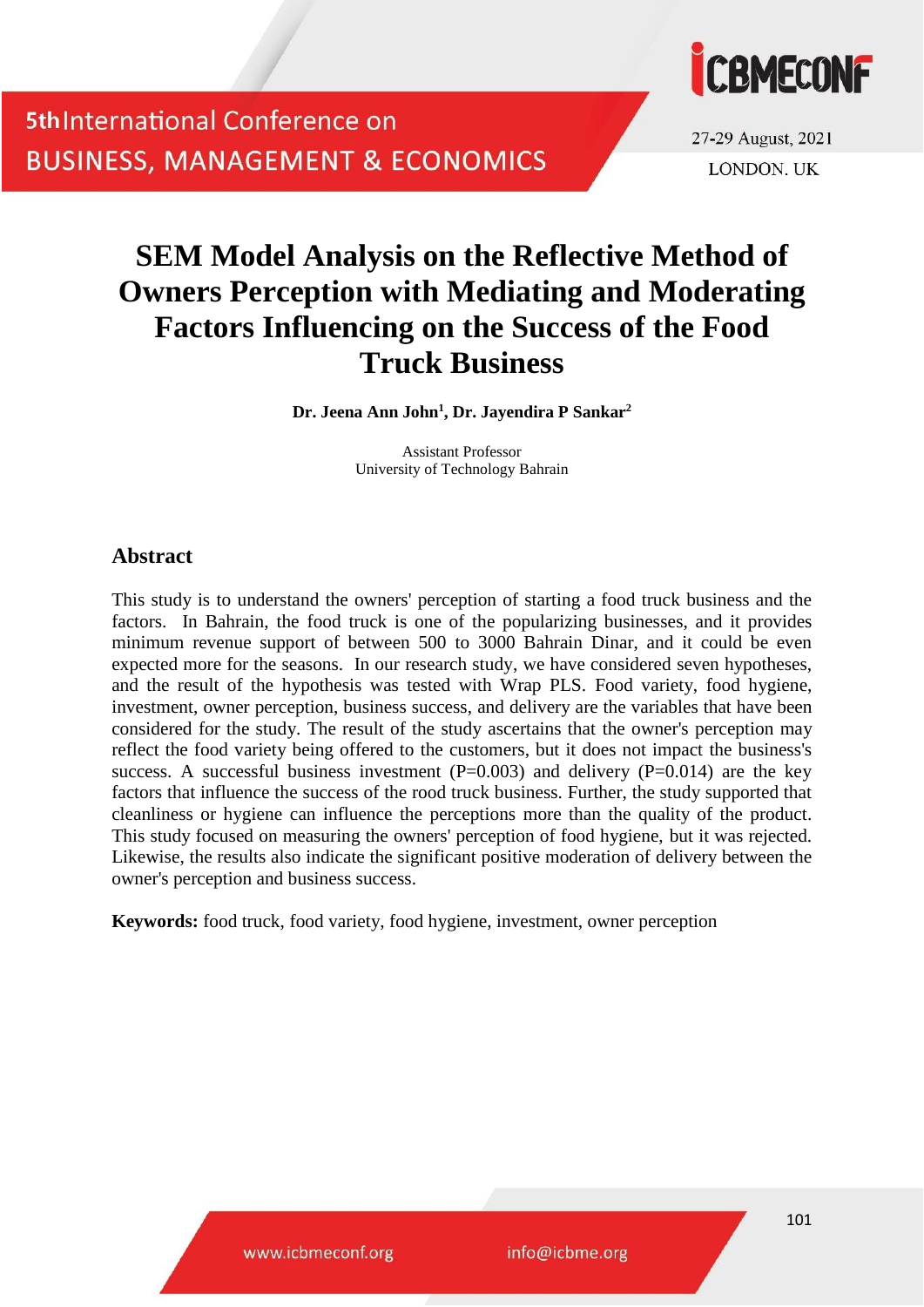

27-29 August, 2021 **LONDON, UK** 

# **SEM Model Analysis on the Reflective Method of Owners Perception with Mediating and Moderating Factors Influencing on the Success of the Food Truck Business**

**Dr. Jeena Ann John<sup>1</sup> , Dr. Jayendira P Sankar<sup>2</sup>**

Assistant Professor University of Technology Bahrain

## **Abstract**

This study is to understand the owners' perception of starting a food truck business and the factors. In Bahrain, the food truck is one of the popularizing businesses, and it provides minimum revenue support of between 500 to 3000 Bahrain Dinar, and it could be even expected more for the seasons. In our research study, we have considered seven hypotheses, and the result of the hypothesis was tested with Wrap PLS. Food variety, food hygiene, investment, owner perception, business success, and delivery are the variables that have been considered for the study. The result of the study ascertains that the owner's perception may reflect the food variety being offered to the customers, but it does not impact the business's success. A successful business investment  $(P=0.003)$  and delivery  $(P=0.014)$  are the key factors that influence the success of the rood truck business. Further, the study supported that cleanliness or hygiene can influence the perceptions more than the quality of the product. This study focused on measuring the owners' perception of food hygiene, but it was rejected. Likewise, the results also indicate the significant positive moderation of delivery between the owner's perception and business success.

**Keywords:** food truck, food variety, food hygiene, investment, owner perception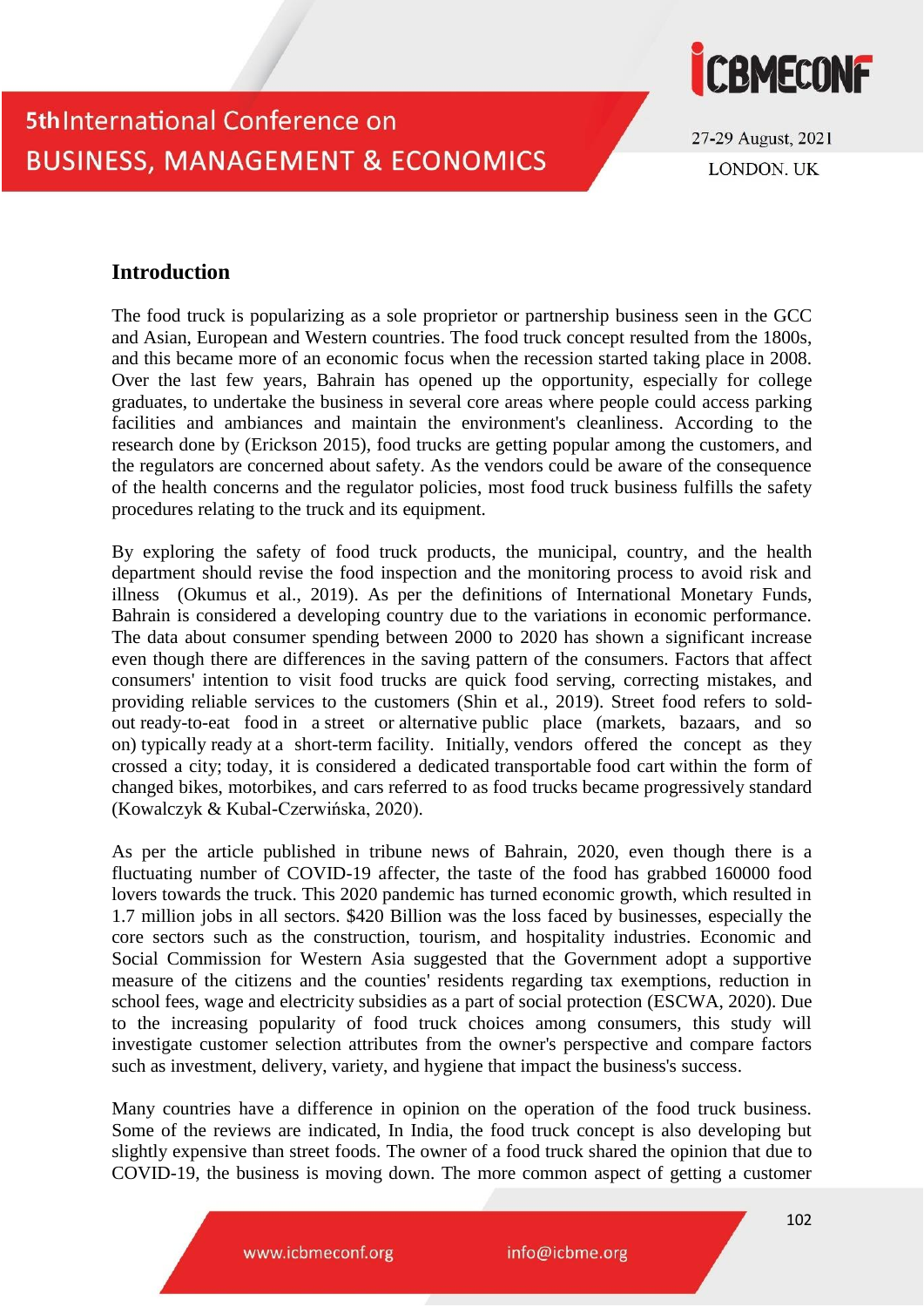

27-29 August, 2021 **LONDON. UK** 

## **Introduction**

The food truck is popularizing as a sole proprietor or partnership business seen in the GCC and Asian, European and Western countries. The food truck concept resulted from the 1800s, and this became more of an economic focus when the recession started taking place in 2008. Over the last few years, Bahrain has opened up the opportunity, especially for college graduates, to undertake the business in several core areas where people could access parking facilities and ambiances and maintain the environment's cleanliness. According to the research done by (Erickson 2015), food trucks are getting popular among the customers, and the regulators are concerned about safety. As the vendors could be aware of the consequence of the health concerns and the regulator policies, most food truck business fulfills the safety procedures relating to the truck and its equipment.

By exploring the safety of food truck products, the municipal, country, and the health department should revise the food inspection and the monitoring process to avoid risk and illness (Okumus et al., 2019). As per the definitions of International Monetary Funds, Bahrain is considered a developing country due to the variations in economic performance. The data about consumer spending between 2000 to 2020 has shown a significant increase even though there are differences in the saving pattern of the consumers. Factors that affect consumers' intention to visit food trucks are quick food serving, correcting mistakes, and providing reliable services to the customers (Shin et al., 2019). Street food refers to soldout ready-to-eat food in a street or alternative public place (markets, bazaars, and so on) typically ready at a short-term facility. Initially, vendors offered the concept as they crossed a city; today, it is considered a dedicated transportable food cart within the form of changed bikes, motorbikes, and cars referred to as food trucks became progressively standard (Kowalczyk & Kubal-Czerwińska, 2020).

As per the article published in tribune news of Bahrain, 2020, even though there is a fluctuating number of COVID-19 affecter, the taste of the food has grabbed 160000 food lovers towards the truck. This 2020 pandemic has turned economic growth, which resulted in 1.7 million jobs in all sectors. \$420 Billion was the loss faced by businesses, especially the core sectors such as the construction, tourism, and hospitality industries. Economic and Social Commission for Western Asia suggested that the Government adopt a supportive measure of the citizens and the counties' residents regarding tax exemptions, reduction in school fees, wage and electricity subsidies as a part of social protection (ESCWA, 2020). Due to the increasing popularity of food truck choices among consumers, this study will investigate customer selection attributes from the owner's perspective and compare factors such as investment, delivery, variety, and hygiene that impact the business's success.

Many countries have a difference in opinion on the operation of the food truck business. Some of the reviews are indicated, In India, the food truck concept is also developing but slightly expensive than street foods. The owner of a food truck shared the opinion that due to COVID-19, the business is moving down. The more common aspect of getting a customer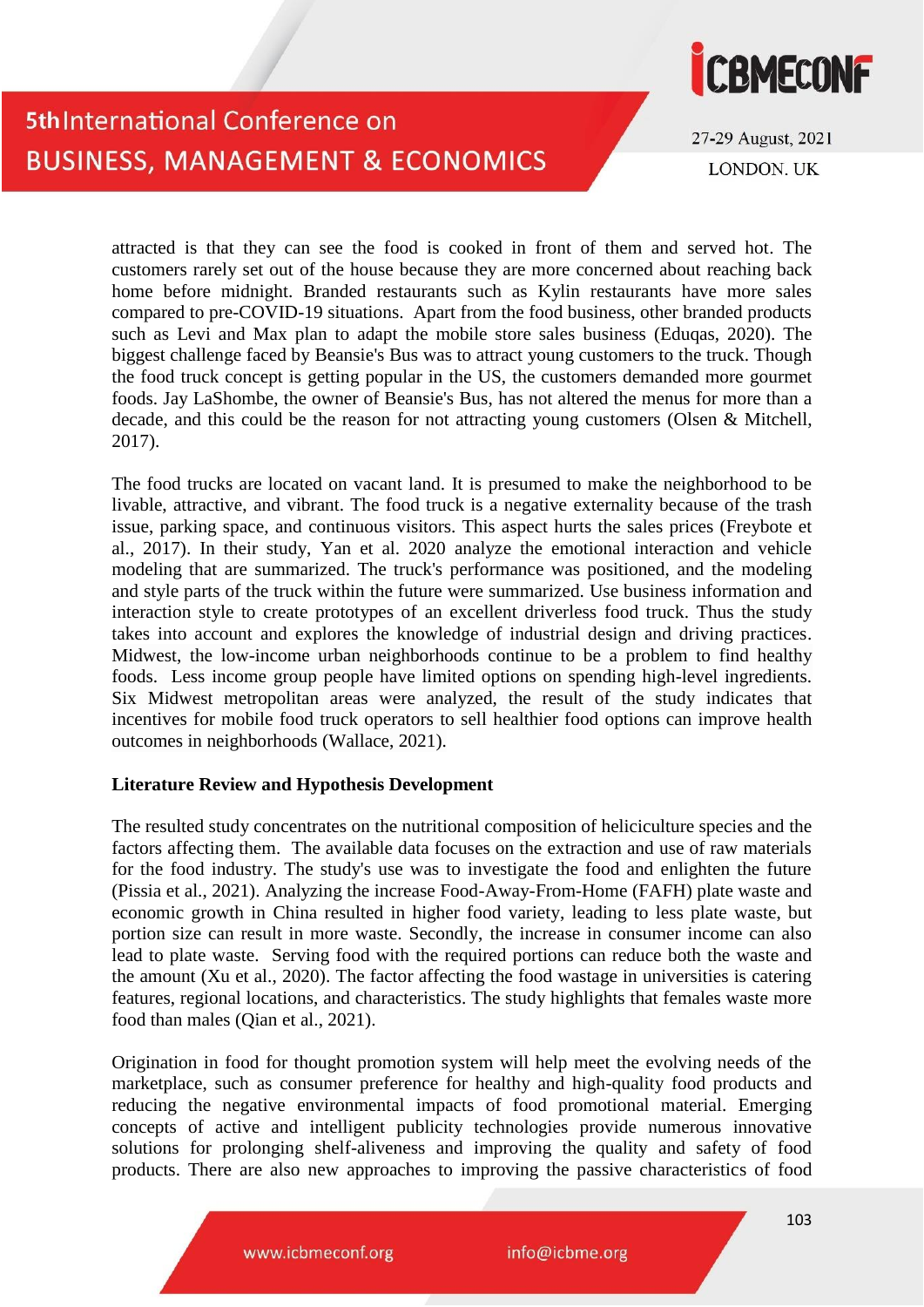

27-29 August, 2021 **LONDON. UK** 

attracted is that they can see the food is cooked in front of them and served hot. The customers rarely set out of the house because they are more concerned about reaching back home before midnight. Branded restaurants such as Kylin restaurants have more sales compared to pre-COVID-19 situations. Apart from the food business, other branded products such as Levi and Max plan to adapt the mobile store sales business (Eduqas, 2020). The biggest challenge faced by Beansie's Bus was to attract young customers to the truck. Though the food truck concept is getting popular in the US, the customers demanded more gourmet foods. Jay LaShombe, the owner of Beansie's Bus, has not altered the menus for more than a decade, and this could be the reason for not attracting young customers (Olsen & Mitchell, 2017).

The food trucks are located on vacant land. It is presumed to make the neighborhood to be livable, attractive, and vibrant. The food truck is a negative externality because of the trash issue, parking space, and continuous visitors. This aspect hurts the sales prices (Freybote et al., 2017). In their study, Yan et al. 2020 analyze the emotional interaction and vehicle modeling that are summarized. The truck's performance was positioned, and the modeling and style parts of the truck within the future were summarized. Use business information and interaction style to create prototypes of an excellent driverless food truck. Thus the study takes into account and explores the knowledge of industrial design and driving practices. Midwest, the low-income urban neighborhoods continue to be a problem to find healthy foods. Less income group people have limited options on spending high-level ingredients. Six Midwest metropolitan areas were analyzed, the result of the study indicates that incentives for mobile food truck operators to sell healthier food options can improve health outcomes in neighborhoods (Wallace, 2021).

#### **Literature Review and Hypothesis Development**

The resulted study concentrates on the nutritional composition of heliciculture species and the factors affecting them. The available data focuses on the extraction and use of raw materials for the food industry. The study's use was to investigate the food and enlighten the future (Pissia et al., 2021). Analyzing the increase Food-Away-From-Home (FAFH) plate waste and economic growth in China resulted in higher food variety, leading to less plate waste, but portion size can result in more waste. Secondly, the increase in consumer income can also lead to plate waste. Serving food with the required portions can reduce both the waste and the amount (Xu et al., 2020). The factor affecting the food wastage in universities is catering features, regional locations, and characteristics. The study highlights that females waste more food than males (Qian et al., 2021).

Origination in food for thought promotion system will help meet the evolving needs of the marketplace, such as consumer preference for healthy and high-quality food products and reducing the negative environmental impacts of food promotional material. Emerging concepts of active and intelligent publicity technologies provide numerous innovative solutions for prolonging shelf-aliveness and improving the quality and safety of food products. There are also new approaches to improving the passive characteristics of food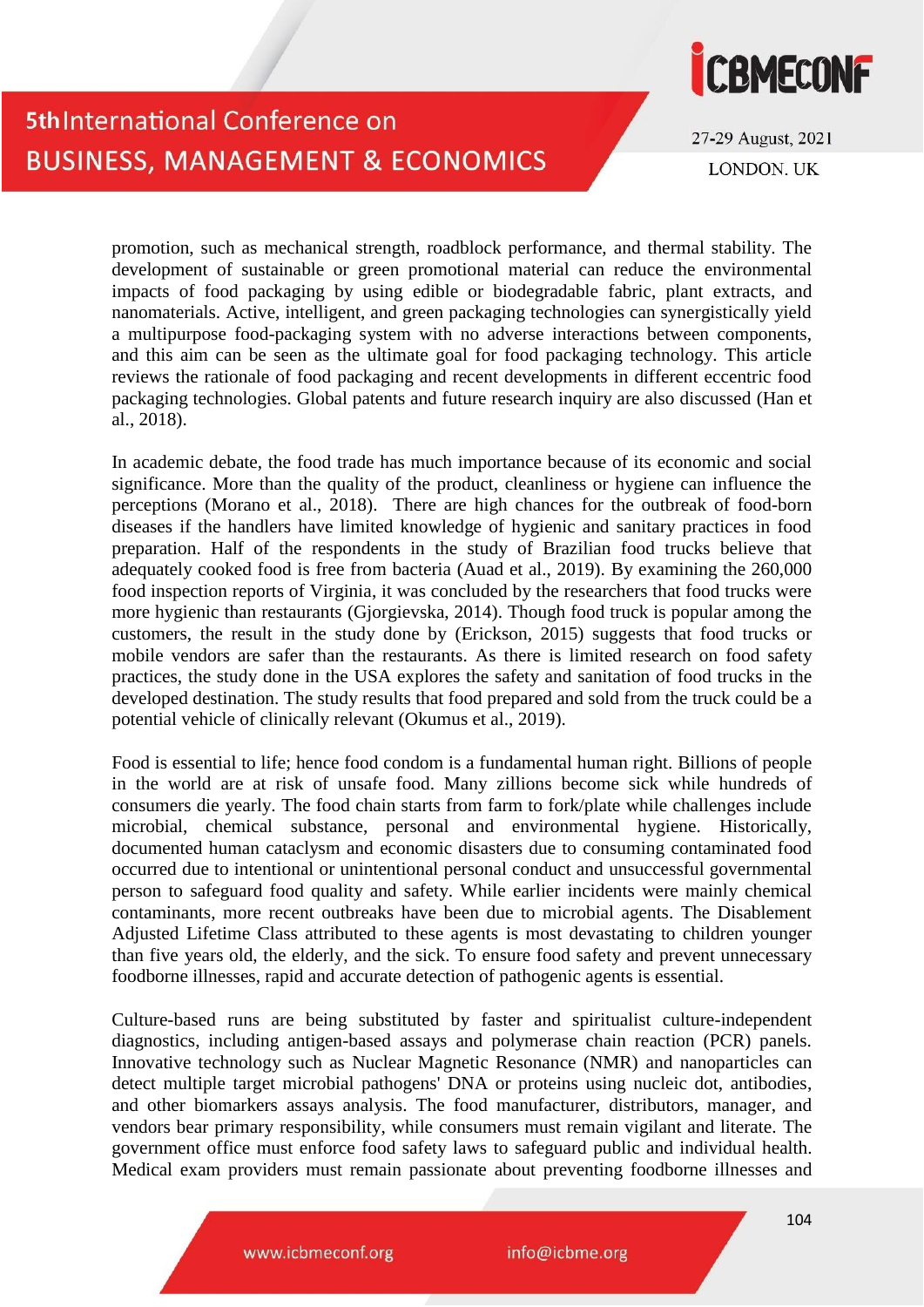

27-29 August, 2021 **LONDON. UK** 

promotion, such as mechanical strength, roadblock performance, and thermal stability. The development of sustainable or green promotional material can reduce the environmental impacts of food packaging by using edible or biodegradable fabric, plant extracts, and nanomaterials. Active, intelligent, and green packaging technologies can synergistically yield a multipurpose food-packaging system with no adverse interactions between components, and this aim can be seen as the ultimate goal for food packaging technology. This article reviews the rationale of food packaging and recent developments in different eccentric food packaging technologies. Global patents and future research inquiry are also discussed (Han et al., 2018).

In academic debate, the food trade has much importance because of its economic and social significance. More than the quality of the product, cleanliness or hygiene can influence the perceptions (Morano et al., 2018). There are high chances for the outbreak of food-born diseases if the handlers have limited knowledge of hygienic and sanitary practices in food preparation. Half of the respondents in the study of Brazilian food trucks believe that adequately cooked food is free from bacteria (Auad et al., 2019). By examining the 260,000 food inspection reports of Virginia, it was concluded by the researchers that food trucks were more hygienic than restaurants (Gjorgievska, 2014). Though food truck is popular among the customers, the result in the study done by (Erickson, 2015) suggests that food trucks or mobile vendors are safer than the restaurants. As there is limited research on food safety practices, the study done in the USA explores the safety and sanitation of food trucks in the developed destination. The study results that food prepared and sold from the truck could be a potential vehicle of clinically relevant (Okumus et al., 2019).

Food is essential to life; hence food condom is a fundamental human right. Billions of people in the world are at risk of unsafe food. Many zillions become sick while hundreds of consumers die yearly. The food chain starts from farm to fork/plate while challenges include microbial, chemical substance, personal and environmental hygiene. Historically, documented human cataclysm and economic disasters due to consuming contaminated food occurred due to intentional or unintentional personal conduct and unsuccessful governmental person to safeguard food quality and safety. While earlier incidents were mainly chemical contaminants, more recent outbreaks have been due to microbial agents. The Disablement Adjusted Lifetime Class attributed to these agents is most devastating to children younger than five years old, the elderly, and the sick. To ensure food safety and prevent unnecessary foodborne illnesses, rapid and accurate detection of pathogenic agents is essential.

Culture-based runs are being substituted by faster and spiritualist culture-independent diagnostics, including antigen-based assays and polymerase chain reaction (PCR) panels. Innovative technology such as Nuclear Magnetic Resonance (NMR) and nanoparticles can detect multiple target microbial pathogens' DNA or proteins using nucleic dot, antibodies, and other biomarkers assays analysis. The food manufacturer, distributors, manager, and vendors bear primary responsibility, while consumers must remain vigilant and literate. The government office must enforce food safety laws to safeguard public and individual health. Medical exam providers must remain passionate about preventing foodborne illnesses and

www.icbmeconf.org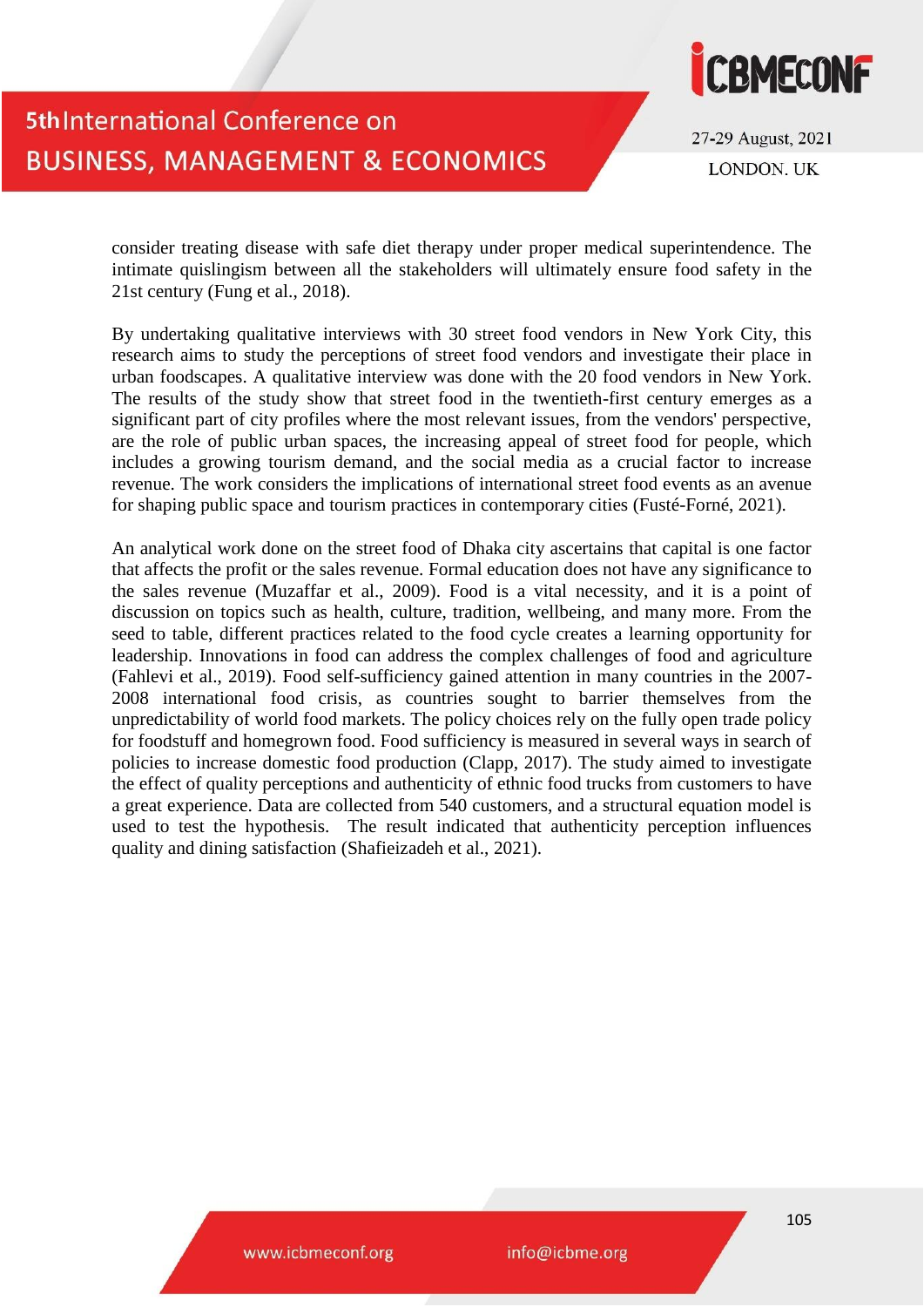

27-29 August, 2021 **LONDON, UK** 

consider treating disease with safe diet therapy under proper medical superintendence. The intimate quislingism between all the stakeholders will ultimately ensure food safety in the 21st century (Fung et al., 2018).

By undertaking qualitative interviews with 30 street food vendors in New York City, this research aims to study the perceptions of street food vendors and investigate their place in urban foodscapes. A qualitative interview was done with the 20 food vendors in New York. The results of the study show that street food in the twentieth-first century emerges as a significant part of city profiles where the most relevant issues, from the vendors' perspective, are the role of public urban spaces, the increasing appeal of street food for people, which includes a growing tourism demand, and the social media as a crucial factor to increase revenue. The work considers the implications of international street food events as an avenue for shaping public space and tourism practices in contemporary cities (Fusté-Forné, 2021).

An analytical work done on the street food of Dhaka city ascertains that capital is one factor that affects the profit or the sales revenue. Formal education does not have any significance to the sales revenue (Muzaffar et al., 2009). Food is a vital necessity, and it is a point of discussion on topics such as health, culture, tradition, wellbeing, and many more. From the seed to table, different practices related to the food cycle creates a learning opportunity for leadership. Innovations in food can address the complex challenges of food and agriculture (Fahlevi et al., 2019). Food self-sufficiency gained attention in many countries in the 2007- 2008 international food crisis, as countries sought to barrier themselves from the unpredictability of world food markets. The policy choices rely on the fully open trade policy for foodstuff and homegrown food. Food sufficiency is measured in several ways in search of policies to increase domestic food production (Clapp, 2017). The study aimed to investigate the effect of quality perceptions and authenticity of ethnic food trucks from customers to have a great experience. Data are collected from 540 customers, and a structural equation model is used to test the hypothesis. The result indicated that authenticity perception influences quality and dining satisfaction (Shafieizadeh et al., 2021).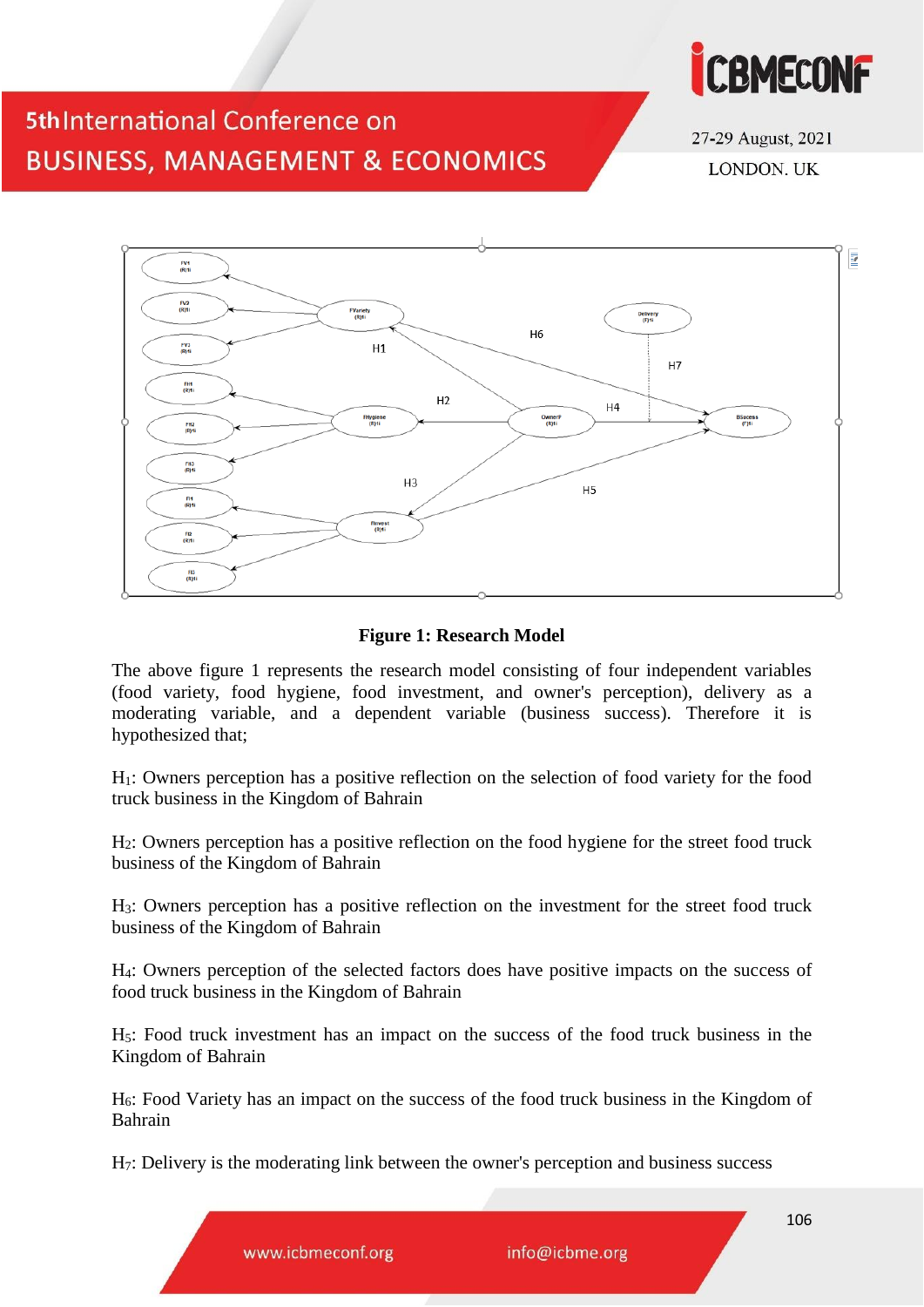

27-29 August, 2021 **LONDON. UK** 



### **Figure 1: Research Model**

The above figure 1 represents the research model consisting of four independent variables (food variety, food hygiene, food investment, and owner's perception), delivery as a moderating variable, and a dependent variable (business success). Therefore it is hypothesized that;

H1: Owners perception has a positive reflection on the selection of food variety for the food truck business in the Kingdom of Bahrain

H2: Owners perception has a positive reflection on the food hygiene for the street food truck business of the Kingdom of Bahrain

H3: Owners perception has a positive reflection on the investment for the street food truck business of the Kingdom of Bahrain

H4: Owners perception of the selected factors does have positive impacts on the success of food truck business in the Kingdom of Bahrain

H5: Food truck investment has an impact on the success of the food truck business in the Kingdom of Bahrain

H6: Food Variety has an impact on the success of the food truck business in the Kingdom of Bahrain

H7: Delivery is the moderating link between the owner's perception and business success

www.icbmeconf.org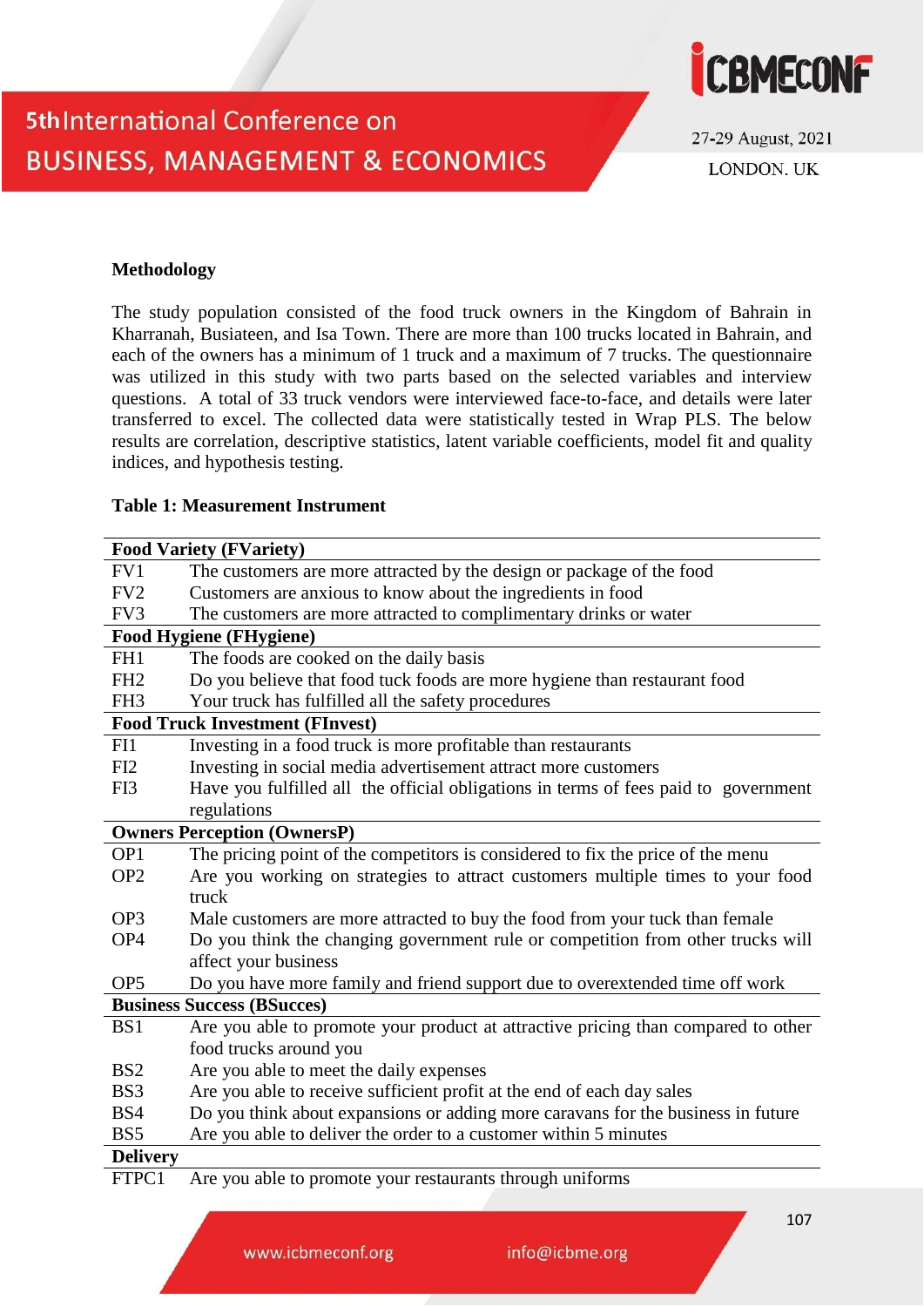

27-29 August, 2021 **LONDON, UK** 

#### **Methodology**

The study population consisted of the food truck owners in the Kingdom of Bahrain in Kharranah, Busiateen, and Isa Town. There are more than 100 trucks located in Bahrain, and each of the owners has a minimum of 1 truck and a maximum of 7 trucks. The questionnaire was utilized in this study with two parts based on the selected variables and interview questions. A total of 33 truck vendors were interviewed face-to-face, and details were later transferred to excel. The collected data were statistically tested in Wrap PLS. The below results are correlation, descriptive statistics, latent variable coefficients, model fit and quality indices, and hypothesis testing.

#### **Table 1: Measurement Instrument**

|                 | <b>Food Variety (FVariety)</b>                                                      |
|-----------------|-------------------------------------------------------------------------------------|
| FV1             | The customers are more attracted by the design or package of the food               |
| FV <sub>2</sub> | Customers are anxious to know about the ingredients in food                         |
| FV3             | The customers are more attracted to complimentary drinks or water                   |
|                 | <b>Food Hygiene (FHygiene)</b>                                                      |
| FH1             | The foods are cooked on the daily basis                                             |
| FH <sub>2</sub> | Do you believe that food tuck foods are more hygiene than restaurant food           |
| FH <sub>3</sub> | Your truck has fulfilled all the safety procedures                                  |
|                 | <b>Food Truck Investment (FInvest)</b>                                              |
| FI1             | Investing in a food truck is more profitable than restaurants                       |
| FI <sub>2</sub> | Investing in social media advertisement attract more customers                      |
| FI3             | Have you fulfilled all the official obligations in terms of fees paid to government |
|                 | regulations                                                                         |
|                 | <b>Owners Perception (OwnersP)</b>                                                  |
| OP <sub>1</sub> | The pricing point of the competitors is considered to fix the price of the menu     |
| OP <sub>2</sub> | Are you working on strategies to attract customers multiple times to your food      |
|                 | truck                                                                               |
| OP <sub>3</sub> | Male customers are more attracted to buy the food from your tuck than female        |
| OP <sub>4</sub> | Do you think the changing government rule or competition from other trucks will     |
|                 | affect your business                                                                |
| OP <sub>5</sub> | Do you have more family and friend support due to overextended time off work        |
|                 | <b>Business Success (BSucces)</b>                                                   |
| BS1             | Are you able to promote your product at attractive pricing than compared to other   |
|                 | food trucks around you                                                              |
| BS <sub>2</sub> | Are you able to meet the daily expenses                                             |
| BS3             | Are you able to receive sufficient profit at the end of each day sales              |
| BS4             | Do you think about expansions or adding more caravans for the business in future    |
| BS <sub>5</sub> | Are you able to deliver the order to a customer within 5 minutes                    |
| <b>Delivery</b> |                                                                                     |
| FTPC1           | Are you able to promote your restaurants through uniforms                           |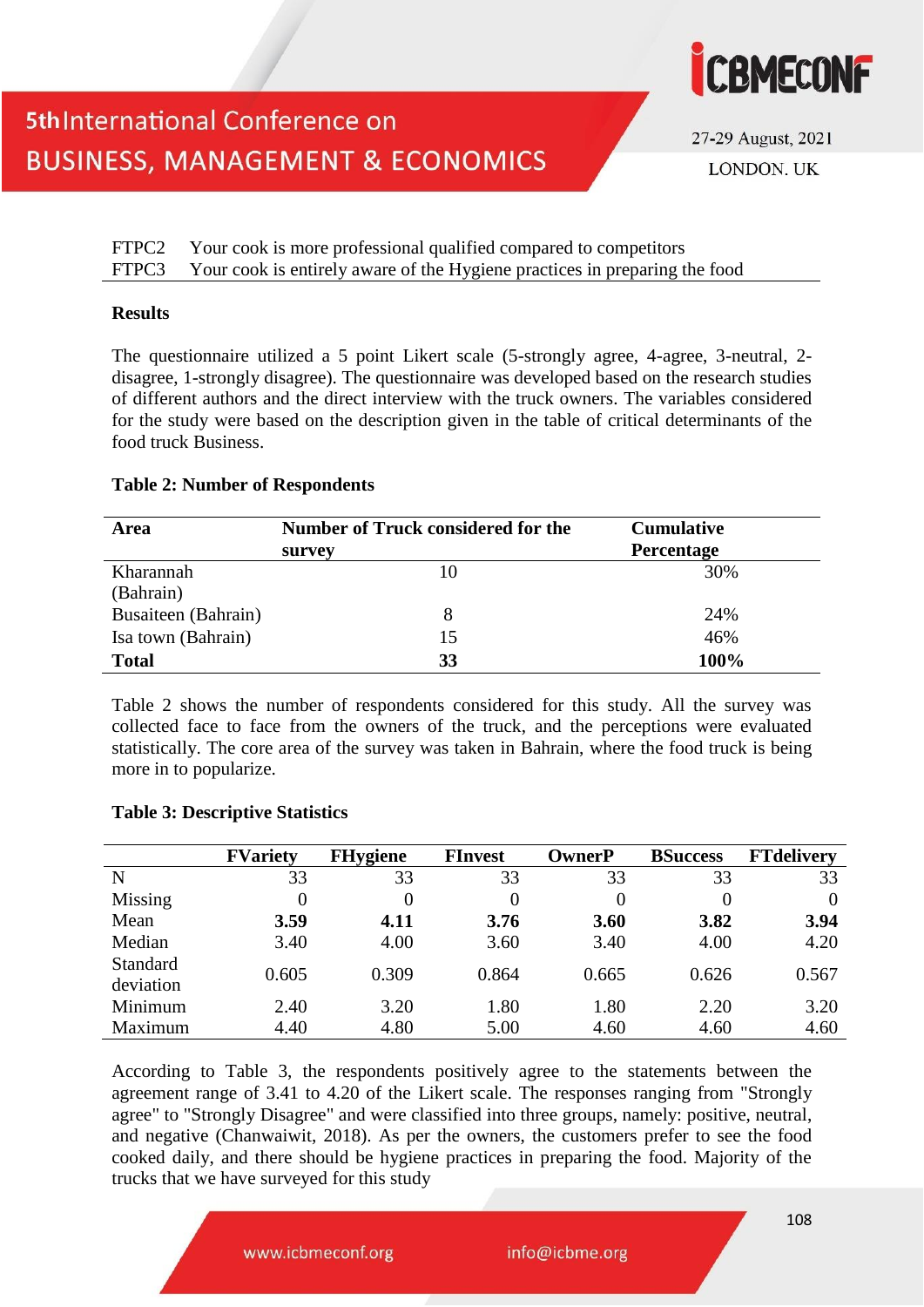

27-29 August, 2021 **LONDON, UK** 

FTPC2 Your cook is more professional qualified compared to competitors FTPC3 Your cook is entirely aware of the Hygiene practices in preparing the food

#### **Results**

The questionnaire utilized a 5 point Likert scale (5-strongly agree, 4-agree, 3-neutral, 2 disagree, 1-strongly disagree). The questionnaire was developed based on the research studies of different authors and the direct interview with the truck owners. The variables considered for the study were based on the description given in the table of critical determinants of the food truck Business.

#### **Table 2: Number of Respondents**

| Area                | <b>Number of Truck considered for the</b> | <b>Cumulative</b> |
|---------------------|-------------------------------------------|-------------------|
|                     | survey                                    | <b>Percentage</b> |
| Kharannah           | 10                                        | 30%               |
| (Bahrain)           |                                           |                   |
| Busaiteen (Bahrain) |                                           | 24%               |
| Isa town (Bahrain)  | 15                                        | 46%               |
| <b>Total</b>        | 33                                        | 100%              |

Table 2 shows the number of respondents considered for this study. All the survey was collected face to face from the owners of the truck, and the perceptions were evaluated statistically. The core area of the survey was taken in Bahrain, where the food truck is being more in to popularize.

|                       | <b>FVariety</b> | <b>FHygiene</b> | <b>FInvest</b> | <b>OwnerP</b> | <b>BSuccess</b> | <b>FTdelivery</b> |
|-----------------------|-----------------|-----------------|----------------|---------------|-----------------|-------------------|
| N                     | 33              | 33              | 33             | 33            | 33              | 33                |
| Missing               | 0               |                 |                | 0             |                 |                   |
| Mean                  | 3.59            | 4.11            | 3.76           | 3.60          | 3.82            | 3.94              |
| Median                | 3.40            | 4.00            | 3.60           | 3.40          | 4.00            | 4.20              |
| Standard<br>deviation | 0.605           | 0.309           | 0.864          | 0.665         | 0.626           | 0.567             |
| Minimum               | 2.40            | 3.20            | 1.80           | 1.80          | 2.20            | 3.20              |
| Maximum               | 4.40            | 4.80            | 5.00           | 4.60          | 4.60            | 4.60              |

#### **Table 3: Descriptive Statistics**

According to Table 3, the respondents positively agree to the statements between the agreement range of 3.41 to 4.20 of the Likert scale. The responses ranging from "Strongly agree" to "Strongly Disagree" and were classified into three groups, namely: positive, neutral, and negative (Chanwaiwit, 2018). As per the owners, the customers prefer to see the food cooked daily, and there should be hygiene practices in preparing the food. Majority of the trucks that we have surveyed for this study

www.icbmeconf.org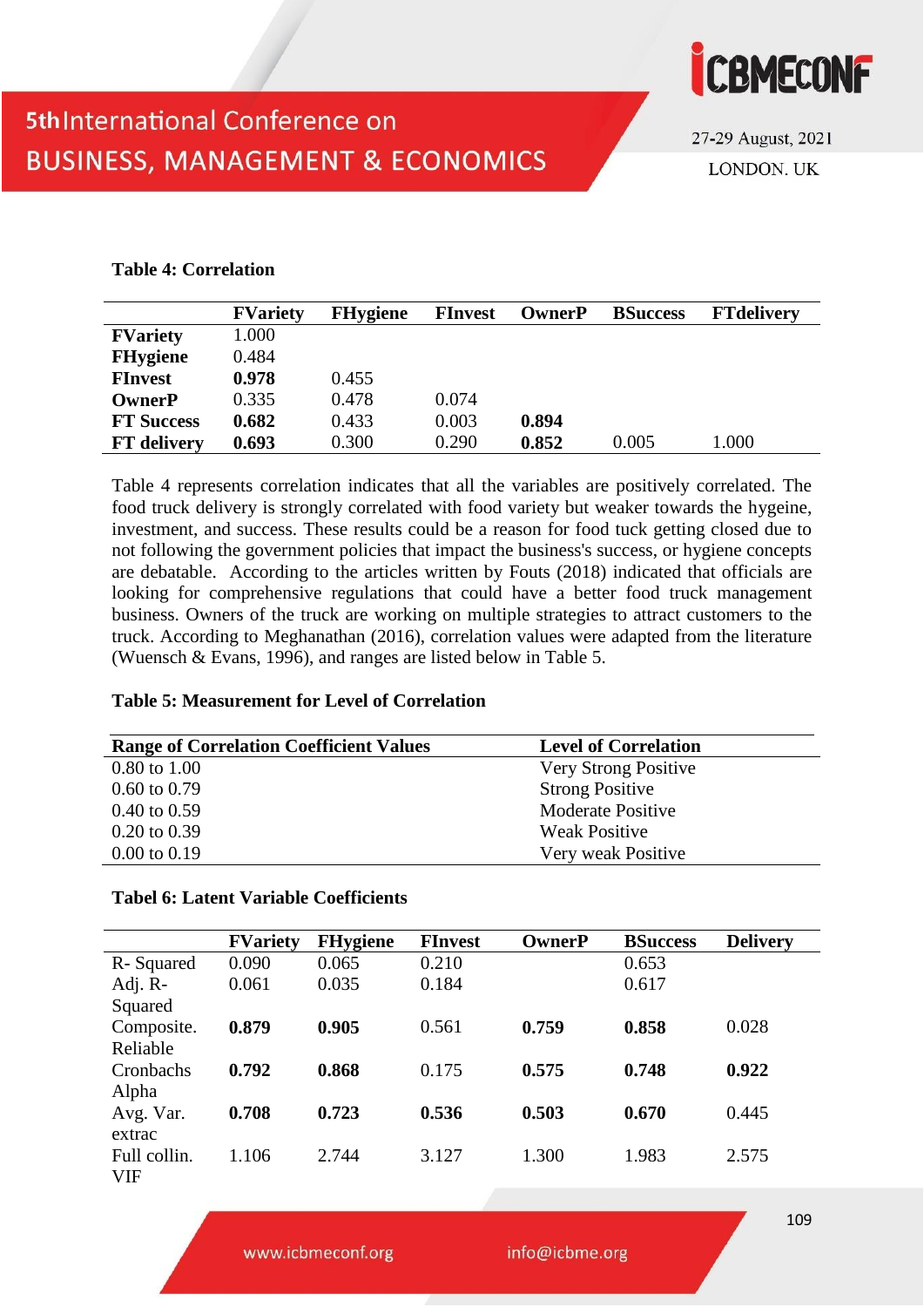

27-29 August, 2021 **LONDON, UK** 

### **Table 4: Correlation**

|                    | <b>FVariety</b> | <b>FHygiene</b> | <b>FInvest</b> | <b>OwnerP</b> | <b>BSuccess</b> | <b>FTdelivery</b> |
|--------------------|-----------------|-----------------|----------------|---------------|-----------------|-------------------|
| <b>FVariety</b>    | 1.000           |                 |                |               |                 |                   |
| <b>FHygiene</b>    | 0.484           |                 |                |               |                 |                   |
| <b>FInvest</b>     | 0.978           | 0.455           |                |               |                 |                   |
| <b>OwnerP</b>      | 0.335           | 0.478           | 0.074          |               |                 |                   |
| <b>FT Success</b>  | 0.682           | 0.433           | 0.003          | 0.894         |                 |                   |
| <b>FT</b> delivery | 0.693           | 0.300           | 0.290          | 0.852         | 0.005           | 1.000             |

Table 4 represents correlation indicates that all the variables are positively correlated. The food truck delivery is strongly correlated with food variety but weaker towards the hygeine, investment, and success. These results could be a reason for food tuck getting closed due to not following the government policies that impact the business's success, or hygiene concepts are debatable. According to the articles written by Fouts (2018) indicated that officials are looking for comprehensive regulations that could have a better food truck management business. Owners of the truck are working on multiple strategies to attract customers to the truck. According to Meghanathan (2016), correlation values were adapted from the literature (Wuensch & Evans, 1996), and ranges are listed below in Table 5.

|  | <b>Table 5: Measurement for Level of Correlation</b> |  |  |  |
|--|------------------------------------------------------|--|--|--|
|--|------------------------------------------------------|--|--|--|

| <b>Range of Correlation Coefficient Values</b> | <b>Level of Correlation</b> |
|------------------------------------------------|-----------------------------|
| $0.80 \text{ to } 1.00$                        | Very Strong Positive        |
| $0.60 \text{ to } 0.79$                        | <b>Strong Positive</b>      |
| $0.40 \text{ to } 0.59$                        | <b>Moderate Positive</b>    |
| $0.20 \text{ to } 0.39$                        | <b>Weak Positive</b>        |
| $0.00 \text{ to } 0.19$                        | Very weak Positive          |

### **Tabel 6: Latent Variable Coefficients**

|              | <b>FVariety</b> | <b>FHygiene</b> | <b>FInvest</b> | <b>OwnerP</b> | <b>BSuccess</b> | <b>Delivery</b> |
|--------------|-----------------|-----------------|----------------|---------------|-----------------|-----------------|
| R-Squared    | 0.090           | 0.065           | 0.210          |               | 0.653           |                 |
| Adj. R-      | 0.061           | 0.035           | 0.184          |               | 0.617           |                 |
| Squared      |                 |                 |                |               |                 |                 |
| Composite.   | 0.879           | 0.905           | 0.561          | 0.759         | 0.858           | 0.028           |
| Reliable     |                 |                 |                |               |                 |                 |
| Cronbachs    | 0.792           | 0.868           | 0.175          | 0.575         | 0.748           | 0.922           |
| Alpha        |                 |                 |                |               |                 |                 |
| Avg. Var.    | 0.708           | 0.723           | 0.536          | 0.503         | 0.670           | 0.445           |
| extrac       |                 |                 |                |               |                 |                 |
| Full collin. | 1.106           | 2.744           | 3.127          | 1.300         | 1.983           | 2.575           |
| <b>VIF</b>   |                 |                 |                |               |                 |                 |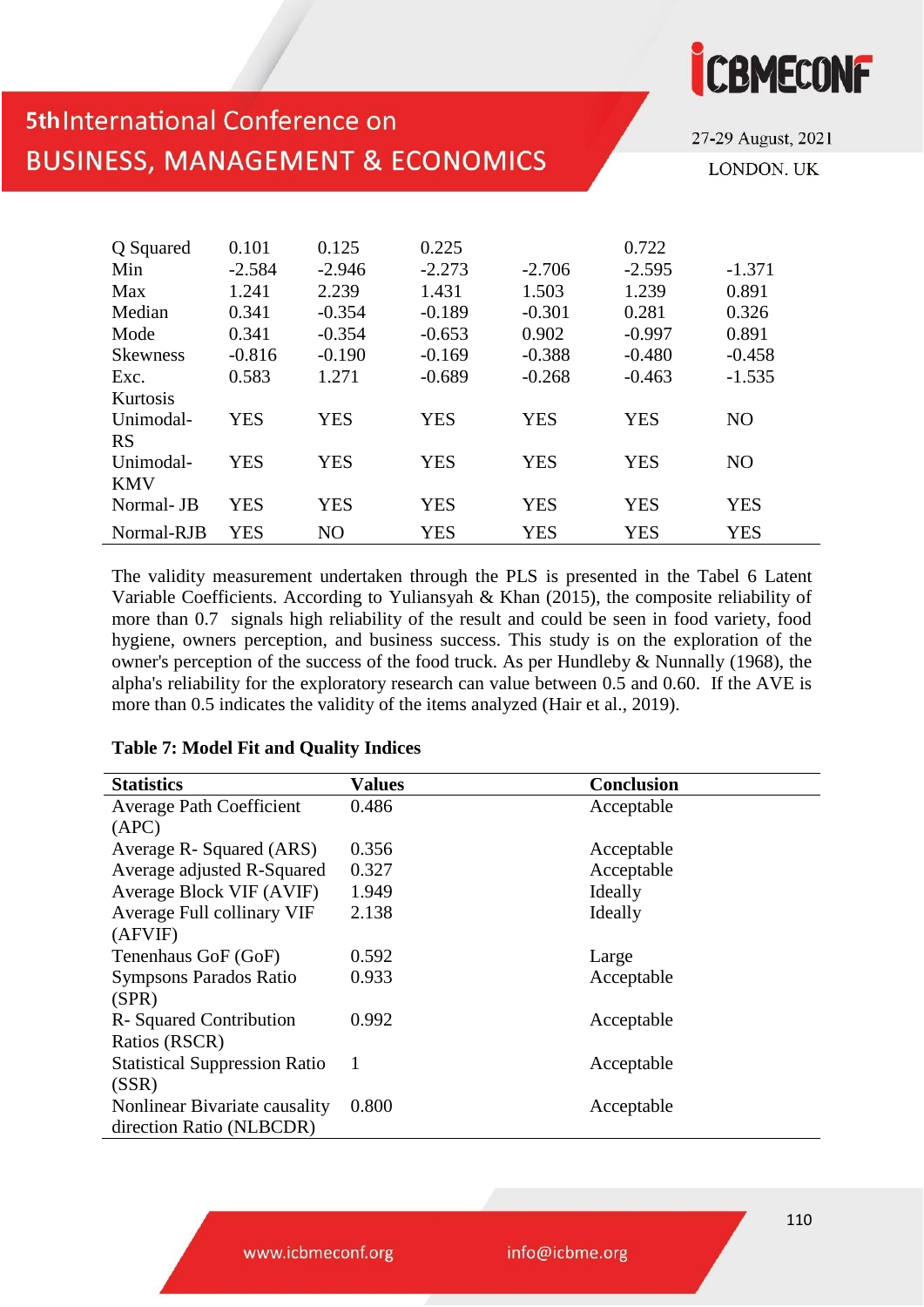27-29 August, 2021 **LONDON, UK** 

**ICBMECONF** 

| Q Squared<br>Min | 0.101<br>$-2.584$ | 0.125<br>$-2.946$ | 0.225<br>$-2.273$ | $-2.706$   | 0.722<br>$-2.595$ | $-1.371$       |
|------------------|-------------------|-------------------|-------------------|------------|-------------------|----------------|
| Max              | 1.241             | 2.239             | 1.431             | 1.503      | 1.239             | 0.891          |
| Median           | 0.341             | $-0.354$          | $-0.189$          | $-0.301$   | 0.281             | 0.326          |
| Mode             | 0.341             | $-0.354$          | $-0.653$          | 0.902      | $-0.997$          | 0.891          |
| <b>Skewness</b>  | $-0.816$          | $-0.190$          | $-0.169$          | $-0.388$   | $-0.480$          | $-0.458$       |
| Exc.             | 0.583             | 1.271             | $-0.689$          | $-0.268$   | $-0.463$          | $-1.535$       |
| Kurtosis         |                   |                   |                   |            |                   |                |
| Unimodal-        | <b>YES</b>        | <b>YES</b>        | <b>YES</b>        | <b>YES</b> | <b>YES</b>        | N <sub>O</sub> |
| <b>RS</b>        |                   |                   |                   |            |                   |                |
| Unimodal-        | <b>YES</b>        | <b>YES</b>        | <b>YES</b>        | <b>YES</b> | <b>YES</b>        | N <sub>O</sub> |
| <b>KMV</b>       |                   |                   |                   |            |                   |                |
| Normal-JB        | <b>YES</b>        | <b>YES</b>        | YES               | <b>YES</b> | <b>YES</b>        | <b>YES</b>     |
| Normal-RJB       | <b>YES</b>        | NO                | <b>YES</b>        | <b>YES</b> | <b>YES</b>        | <b>YES</b>     |

The validity measurement undertaken through the PLS is presented in the Tabel 6 Latent Variable Coefficients. According to Yuliansyah & Khan (2015), the composite reliability of more than 0.7 signals high reliability of the result and could be seen in food variety, food hygiene, owners perception, and business success. This study is on the exploration of the owner's perception of the success of the food truck. As per Hundleby & Nunnally (1968), the alpha's reliability for the exploratory research can value between 0.5 and 0.60. If the AVE is more than 0.5 indicates the validity of the items analyzed (Hair et al., 2019).

| <b>Statistics</b>                    | <b>Values</b> | <b>Conclusion</b> |
|--------------------------------------|---------------|-------------------|
| <b>Average Path Coefficient</b>      | 0.486         | Acceptable        |
| (APC)                                |               |                   |
| Average R- Squared (ARS)             | 0.356         | Acceptable        |
| Average adjusted R-Squared           | 0.327         | Acceptable        |
| Average Block VIF (AVIF)             | 1.949         | Ideally           |
| Average Full collinary VIF           | 2.138         | Ideally           |
| (AFVIF)                              |               |                   |
| Tenenhaus GoF (GoF)                  | 0.592         | Large             |
| Sympsons Parados Ratio               | 0.933         | Acceptable        |
| (SPR)                                |               |                   |
| R-Squared Contribution               | 0.992         | Acceptable        |
| Ratios (RSCR)                        |               |                   |
| <b>Statistical Suppression Ratio</b> | 1             | Acceptable        |
| (SSR)                                |               |                   |
| Nonlinear Bivariate causality        | 0.800         | Acceptable        |
| direction Ratio (NLBCDR)             |               |                   |

#### **Table 7: Model Fit and Quality Indices**

www.icbmeconf.org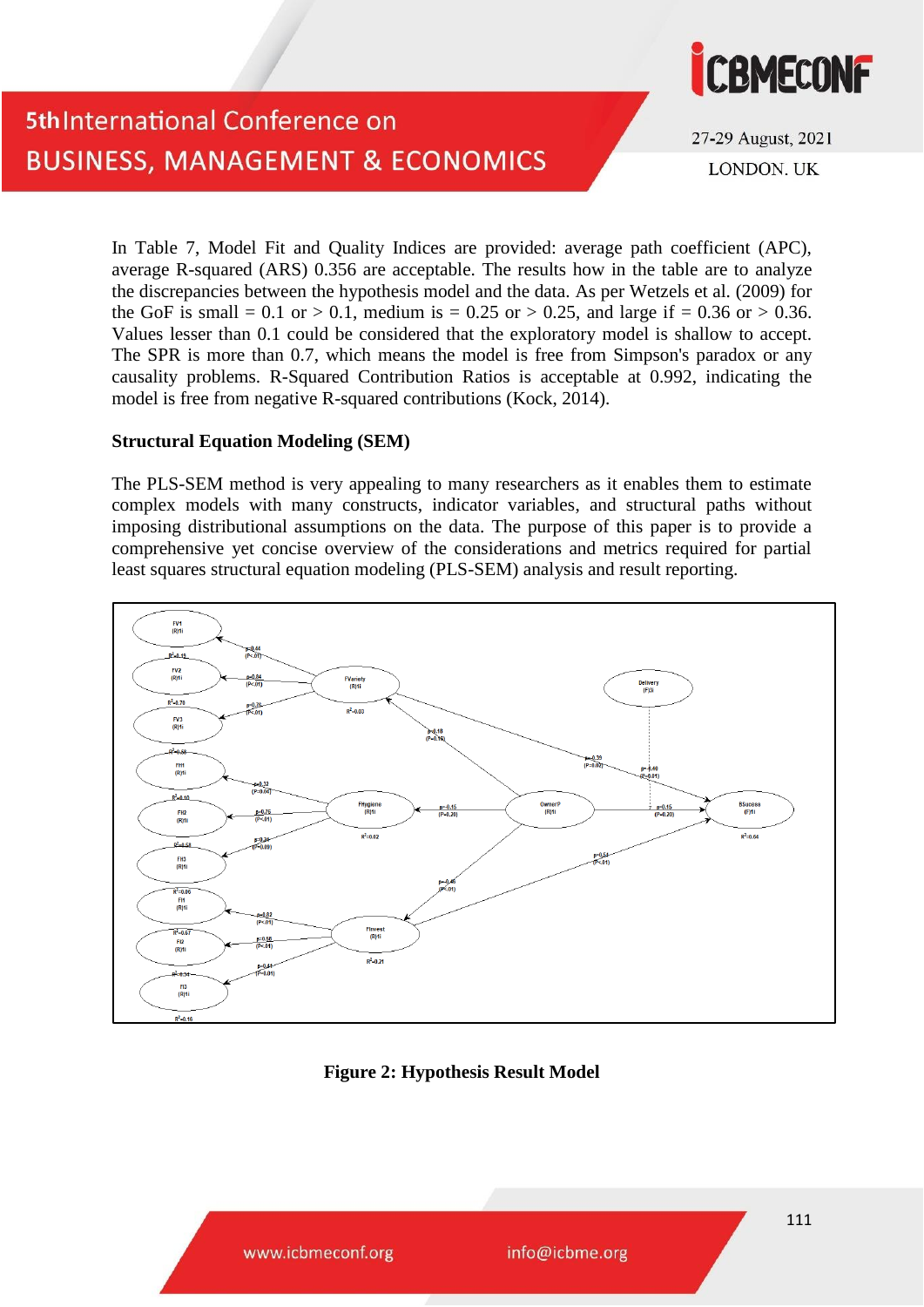

27-29 August, 2021 **LONDON, UK** 

In Table 7, Model Fit and Quality Indices are provided: average path coefficient (APC), average R-squared (ARS) 0.356 are acceptable. The results how in the table are to analyze the discrepancies between the hypothesis model and the data. As per Wetzels et al. (2009) for the GoF is small = 0.1 or > 0.1, medium is = 0.25 or > 0.25, and large if = 0.36 or > 0.36. Values lesser than 0.1 could be considered that the exploratory model is shallow to accept. The SPR is more than 0.7, which means the model is free from Simpson's paradox or any causality problems. R-Squared Contribution Ratios is acceptable at 0.992, indicating the model is free from negative R-squared contributions (Kock, 2014).

#### **Structural Equation Modeling (SEM)**

The PLS-SEM method is very appealing to many researchers as it enables them to estimate complex models with many constructs, indicator variables, and structural paths without imposing distributional assumptions on the data. The purpose of this paper is to provide a comprehensive yet concise overview of the considerations and metrics required for partial least squares structural equation modeling (PLS-SEM) analysis and result reporting.



### **Figure 2: Hypothesis Result Model**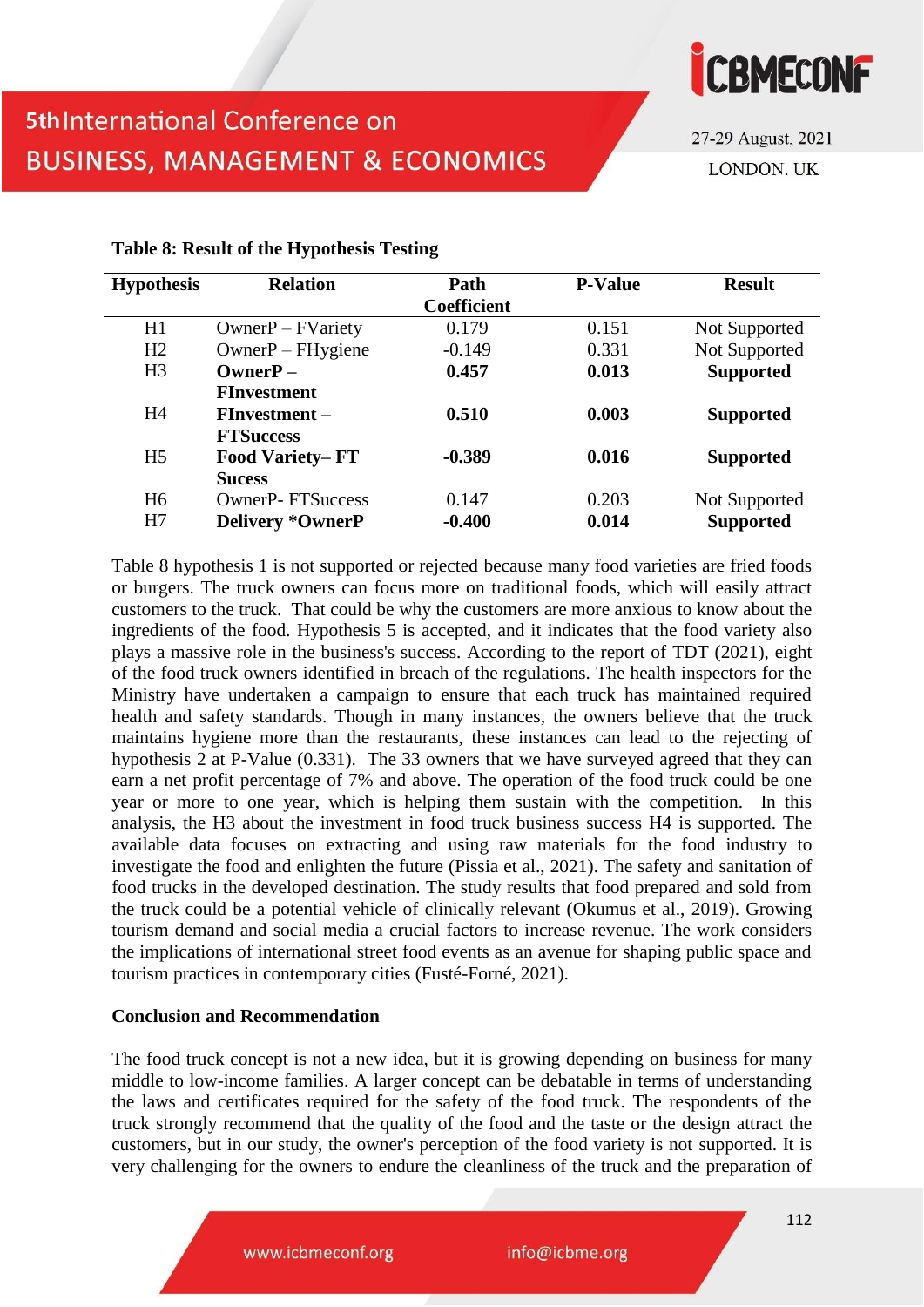

27-29 August, 2021 **LONDON, UK** 

| <b>Relation</b>         | Path               | <b>P-Value</b> | <b>Result</b>    |
|-------------------------|--------------------|----------------|------------------|
|                         | <b>Coefficient</b> |                |                  |
| $OwnerP - FVariety$     | 0.179              | 0.151          | Not Supported    |
| $Owner$ – $FH$ ygiene   | $-0.149$           | 0.331          | Not Supported    |
| $OwnerP -$              | 0.457              | 0.013          | <b>Supported</b> |
| <b>FInvestment</b>      |                    |                |                  |
| $F$ Investment –        | 0.510              | 0.003          | <b>Supported</b> |
| <b>FTSuccess</b>        |                    |                |                  |
| <b>Food Variety–FT</b>  | $-0.389$           | 0.016          | <b>Supported</b> |
| <b>Sucess</b>           |                    |                |                  |
| <b>OwnerP-FTSuccess</b> | 0.147              | 0.203          | Not Supported    |
| <b>Delivery *OwnerP</b> | $-0.400$           | 0.014          | <b>Supported</b> |
|                         |                    |                |                  |

### **Table 8: Result of the Hypothesis Testing**

Table 8 hypothesis 1 is not supported or rejected because many food varieties are fried foods or burgers. The truck owners can focus more on traditional foods, which will easily attract customers to the truck. That could be why the customers are more anxious to know about the ingredients of the food. Hypothesis 5 is accepted, and it indicates that the food variety also plays a massive role in the business's success. According to the report of TDT (2021), eight of the food truck owners identified in breach of the regulations. The health inspectors for the Ministry have undertaken a campaign to ensure that each truck has maintained required health and safety standards. Though in many instances, the owners believe that the truck maintains hygiene more than the restaurants, these instances can lead to the rejecting of hypothesis 2 at P-Value (0.331). The 33 owners that we have surveyed agreed that they can earn a net profit percentage of 7% and above. The operation of the food truck could be one year or more to one year, which is helping them sustain with the competition. In this analysis, the H3 about the investment in food truck business success H4 is supported. The available data focuses on extracting and using raw materials for the food industry to investigate the food and enlighten the future (Pissia et al., 2021). The safety and sanitation of food trucks in the developed destination. The study results that food prepared and sold from the truck could be a potential vehicle of clinically relevant (Okumus et al., 2019). Growing tourism demand and social media a crucial factors to increase revenue. The work considers the implications of international street food events as an avenue for shaping public space and tourism practices in contemporary cities (Fusté-Forné, 2021).

### **Conclusion and Recommendation**

The food truck concept is not a new idea, but it is growing depending on business for many middle to low-income families. A larger concept can be debatable in terms of understanding the laws and certificates required for the safety of the food truck. The respondents of the truck strongly recommend that the quality of the food and the taste or the design attract the customers, but in our study, the owner's perception of the food variety is not supported. It is very challenging for the owners to endure the cleanliness of the truck and the preparation of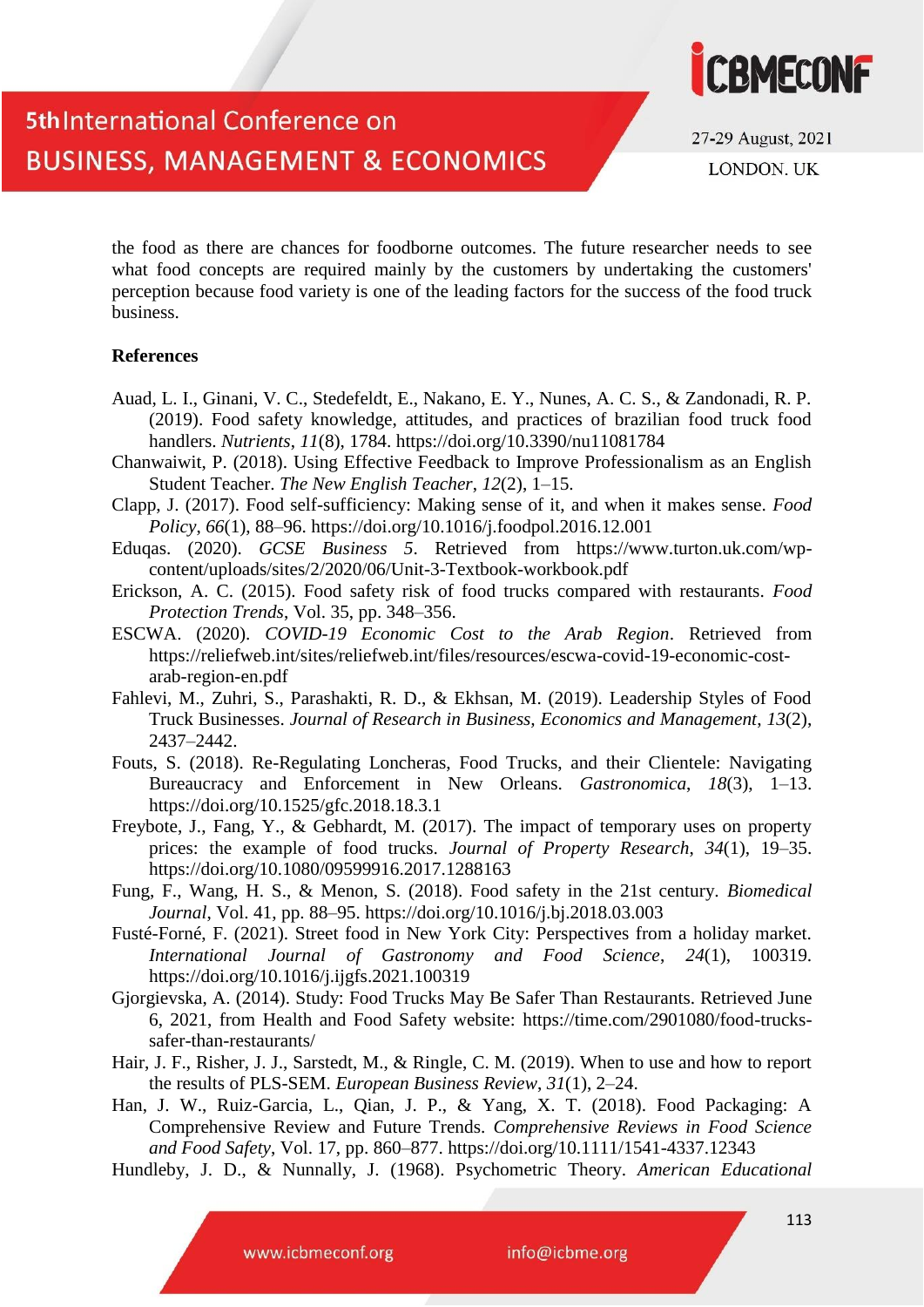

27-29 August, 2021 LONDON. UK

the food as there are chances for foodborne outcomes. The future researcher needs to see what food concepts are required mainly by the customers by undertaking the customers' perception because food variety is one of the leading factors for the success of the food truck business.

#### **References**

- Auad, L. I., Ginani, V. C., Stedefeldt, E., Nakano, E. Y., Nunes, A. C. S., & Zandonadi, R. P. (2019). Food safety knowledge, attitudes, and practices of brazilian food truck food handlers. *Nutrients*, *11*(8), 1784. https://doi.org/10.3390/nu11081784
- Chanwaiwit, P. (2018). Using Effective Feedback to Improve Professionalism as an English Student Teacher. *The New English Teacher*, *12*(2), 1–15.
- Clapp, J. (2017). Food self-sufficiency: Making sense of it, and when it makes sense. *Food Policy*, *66*(1), 88–96. https://doi.org/10.1016/j.foodpol.2016.12.001
- Eduqas. (2020). *GCSE Business 5*. Retrieved from https://www.turton.uk.com/wpcontent/uploads/sites/2/2020/06/Unit-3-Textbook-workbook.pdf
- Erickson, A. C. (2015). Food safety risk of food trucks compared with restaurants. *Food Protection Trends*, Vol. 35, pp. 348–356.
- ESCWA. (2020). *COVID-19 Economic Cost to the Arab Region*. Retrieved from https://reliefweb.int/sites/reliefweb.int/files/resources/escwa-covid-19-economic-costarab-region-en.pdf
- Fahlevi, M., Zuhri, S., Parashakti, R. D., & Ekhsan, M. (2019). Leadership Styles of Food Truck Businesses. *Journal of Research in Business, Economics and Management*, *13*(2), 2437–2442.
- Fouts, S. (2018). Re-Regulating Loncheras, Food Trucks, and their Clientele: Navigating Bureaucracy and Enforcement in New Orleans. *Gastronomica*, *18*(3), 1–13. https://doi.org/10.1525/gfc.2018.18.3.1
- Freybote, J., Fang, Y., & Gebhardt, M. (2017). The impact of temporary uses on property prices: the example of food trucks. *Journal of Property Research*, *34*(1), 19–35. https://doi.org/10.1080/09599916.2017.1288163
- Fung, F., Wang, H. S., & Menon, S. (2018). Food safety in the 21st century. *Biomedical Journal*, Vol. 41, pp. 88–95. https://doi.org/10.1016/j.bj.2018.03.003
- Fusté-Forné, F. (2021). Street food in New York City: Perspectives from a holiday market. *International Journal of Gastronomy and Food Science*, *24*(1), 100319. https://doi.org/10.1016/j.ijgfs.2021.100319
- Gjorgievska, A. (2014). Study: Food Trucks May Be Safer Than Restaurants. Retrieved June 6, 2021, from Health and Food Safety website: https://time.com/2901080/food-truckssafer-than-restaurants/
- Hair, J. F., Risher, J. J., Sarstedt, M., & Ringle, C. M. (2019). When to use and how to report the results of PLS-SEM. *European Business Review*, *31*(1), 2–24.
- Han, J. W., Ruiz-Garcia, L., Qian, J. P., & Yang, X. T. (2018). Food Packaging: A Comprehensive Review and Future Trends. *Comprehensive Reviews in Food Science and Food Safety*, Vol. 17, pp. 860–877. https://doi.org/10.1111/1541-4337.12343
- Hundleby, J. D., & Nunnally, J. (1968). Psychometric Theory. *American Educational*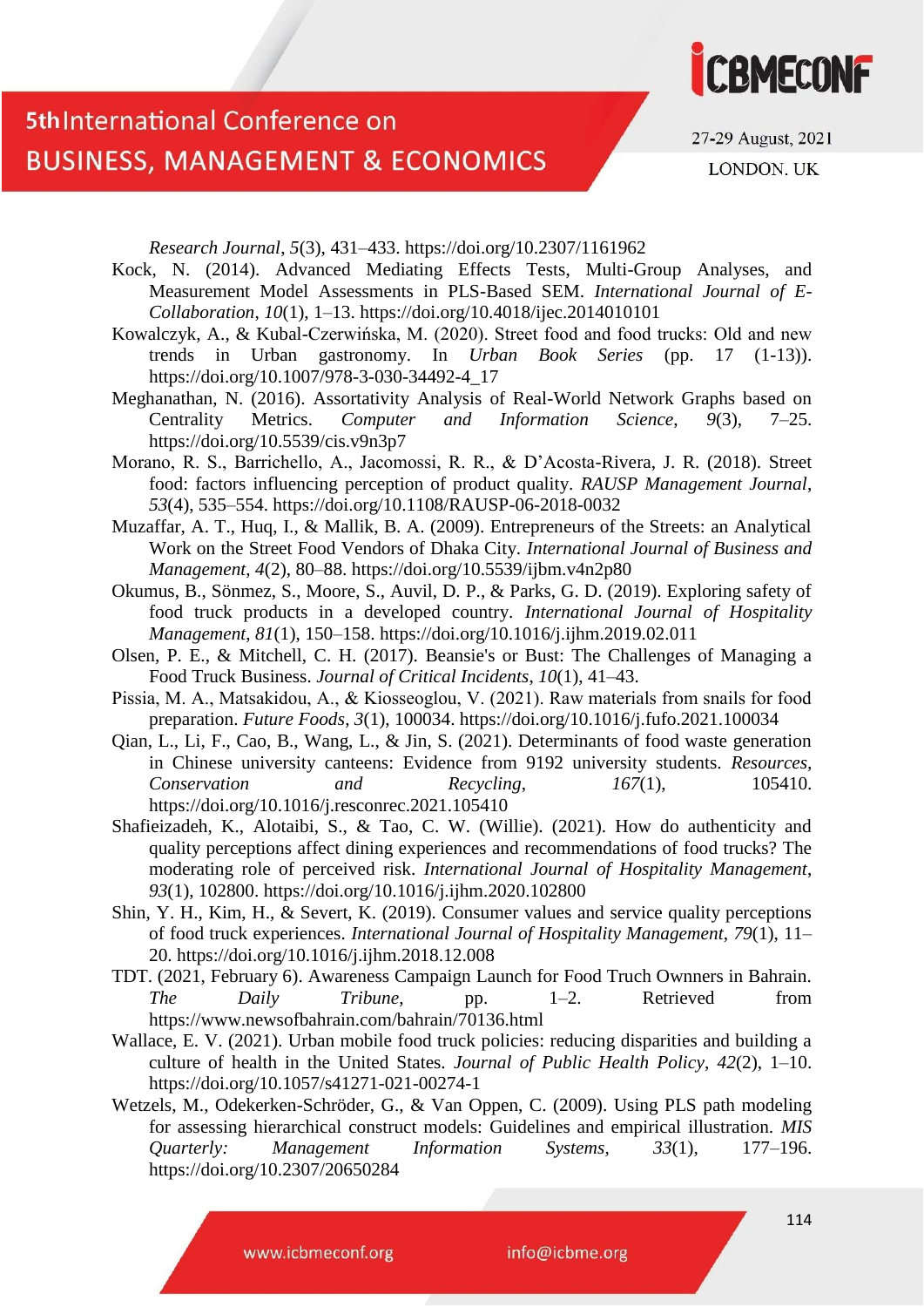



27-29 August, 2021

LONDON. UK

*Research Journal*, *5*(3), 431–433. https://doi.org/10.2307/1161962

- Kock, N. (2014). Advanced Mediating Effects Tests, Multi-Group Analyses, and Measurement Model Assessments in PLS-Based SEM. *International Journal of E-Collaboration*, *10*(1), 1–13. https://doi.org/10.4018/ijec.2014010101
- Kowalczyk, A., & Kubal-Czerwińska, M. (2020). Street food and food trucks: Old and new trends in Urban gastronomy. In *Urban Book Series* (pp. 17 (1-13)). https://doi.org/10.1007/978-3-030-34492-4\_17
- Meghanathan, N. (2016). Assortativity Analysis of Real-World Network Graphs based on Centrality Metrics. *Computer and Information Science*, *9*(3), 7–25. https://doi.org/10.5539/cis.v9n3p7
- Morano, R. S., Barrichello, A., Jacomossi, R. R., & D'Acosta-Rivera, J. R. (2018). Street food: factors influencing perception of product quality. *RAUSP Management Journal*, *53*(4), 535–554. https://doi.org/10.1108/RAUSP-06-2018-0032
- Muzaffar, A. T., Huq, I., & Mallik, B. A. (2009). Entrepreneurs of the Streets: an Analytical Work on the Street Food Vendors of Dhaka City. *International Journal of Business and Management*, *4*(2), 80–88. https://doi.org/10.5539/ijbm.v4n2p80
- Okumus, B., Sönmez, S., Moore, S., Auvil, D. P., & Parks, G. D. (2019). Exploring safety of food truck products in a developed country. *International Journal of Hospitality Management*, *81*(1), 150–158. https://doi.org/10.1016/j.ijhm.2019.02.011
- Olsen, P. E., & Mitchell, C. H. (2017). Beansie's or Bust: The Challenges of Managing a Food Truck Business. *Journal of Critical Incidents*, *10*(1), 41–43.
- Pissia, M. Α., Matsakidou, A., & Kiosseoglou, V. (2021). Raw materials from snails for food preparation. *Future Foods*, *3*(1), 100034. https://doi.org/10.1016/j.fufo.2021.100034
- Qian, L., Li, F., Cao, B., Wang, L., & Jin, S. (2021). Determinants of food waste generation in Chinese university canteens: Evidence from 9192 university students. *Resources, Conservation and Recycling*, *167*(1), 105410. https://doi.org/10.1016/j.resconrec.2021.105410
- Shafieizadeh, K., Alotaibi, S., & Tao, C. W. (Willie). (2021). How do authenticity and quality perceptions affect dining experiences and recommendations of food trucks? The moderating role of perceived risk. *International Journal of Hospitality Management*, *93*(1), 102800. https://doi.org/10.1016/j.ijhm.2020.102800
- Shin, Y. H., Kim, H., & Severt, K. (2019). Consumer values and service quality perceptions of food truck experiences. *International Journal of Hospitality Management*, *79*(1), 11– 20. https://doi.org/10.1016/j.ijhm.2018.12.008
- TDT. (2021, February 6). Awareness Campaign Launch for Food Truch Ownners in Bahrain. *The Daily Tribune*, pp. 1–2. Retrieved from https://www.newsofbahrain.com/bahrain/70136.html
- Wallace, E. V. (2021). Urban mobile food truck policies: reducing disparities and building a culture of health in the United States. *Journal of Public Health Policy*, *42*(2), 1–10. https://doi.org/10.1057/s41271-021-00274-1
- Wetzels, M., Odekerken-Schröder, G., & Van Oppen, C. (2009). Using PLS path modeling for assessing hierarchical construct models: Guidelines and empirical illustration. *MIS Quarterly: Management Information Systems*, *33*(1), 177–196. https://doi.org/10.2307/20650284